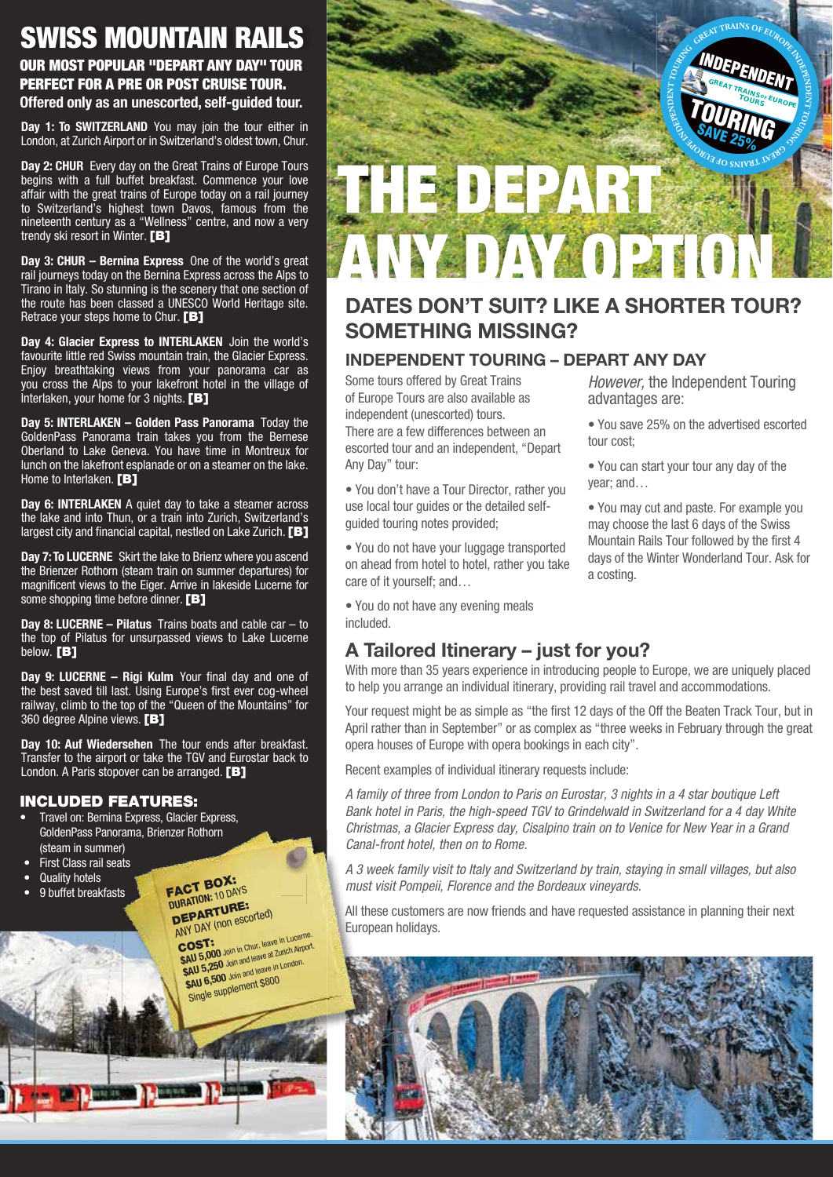# SWISS MOUNTAIN RAILS

#### OUR MOST POPULAR "DEPART ANY DAY" TOUR PERFECT FOR A PRE OR POST CRUISE TOUR. **Offered only as an unescorted, self-guided tour.**

**Day 1: To SWITZERLAND** You may join the tour either in London, at Zurich Airport or in Switzerland's oldest town, Chur.

**Day 2: CHUR** Every day on the Great Trains of Europe Tours begins with a full buffet breakfast. Commence your love affair with the great trains of Europe today on a rail journey to Switzerland's highest town Davos, famous from the nineteenth century as a "Wellness" centre, and now a very trendy ski resort in Winter. [B]

**Day 3: CHUR – Bernina Express** One of the world's great rail journeys today on the Bernina Express across the Alps to Tirano in Italy. So stunning is the scenery that one section of the route has been classed a UNESCO World Heritage site. Retrace your steps home to Chur. [B]

**Day 4: Glacier Express to INTERLAKEN** Join the world's favourite little red Swiss mountain train, the Glacier Express. Enjoy breathtaking views from your panorama car as you cross the Alps to your lakefront hotel in the village of Interlaken, your home for 3 nights.  $[B]$ 

**Day 5: INTERLAKEN – Golden Pass Panorama** Today the GoldenPass Panorama train takes you from the Bernese Oberland to Lake Geneva. You have time in Montreux for lunch on the lakefront esplanade or on a steamer on the lake. Home to Interlaken. **[B]** 

**Day 6: INTERLAKEN** A quiet day to take a steamer across the lake and into Thun, or a train into Zurich, Switzerland's largest city and financial capital, nestled on Lake Zurich. [B]

**Day 7: To LUCERNE** Skirt the lake to Brienz where you ascend the Brienzer Rothorn (steam train on summer departures) for magnificent views to the Eiger. Arrive in lakeside Lucerne for some shopping time before dinner. [B]

**Day 8: LUCERNE – Pilatus** Trains boats and cable car – to the top of Pilatus for unsurpassed views to Lake Lucerne below. **[B]** 

**Day 9: LUCERNE – Rigi Kulm** Your final day and one of the best saved till last. Using Europe's first ever cog-wheel railway, climb to the top of the "Queen of the Mountains" for 360 degree Alpine views. **[B]** 

**Day 10: Auf Wiedersehen** The tour ends after breakfast. Transfer to the airport or take the TGV and Eurostar back to London. A Paris stopover can be arranged. [B]

#### INCLUDED FEATURES:

- Travel on: Bernina Express, Glacier Express, GoldenPass Panorama, Brienzer Rothorn (steam in summer)
- First Class rail seats
- Quality hotels
- 9 buffet breakfasts

FACT BOX: **DURATION:** 10 DAYS DEPARTURE: ANY DAY (non escorted)

**COST:**<br> **COST: 6000** Join in Chur, leave in Lucerne.<br> **\$AU 5,000** Join and leave at *5*, 1 ond 00. **\$AU 5,250** Join and leave at Zurich Airport. \$AU 6,500 Join and leave in London. Single supplement \$800



## **DATES DON'T SUIT? LIKE A SHORTER TOUR? SOMETHING MISSING?**

#### **INDEPENDENT TOURING – DEPART ANY DAY**

Some tours offered by Great Trains of Europe Tours are also available as independent (unescorted) tours. There are a few differences between an escorted tour and an independent, "Depart Any Day" tour:

• You don't have a Tour Director, rather you use local tour guides or the detailed selfguided touring notes provided;

• You do not have your luggage transported on ahead from hotel to hotel, rather you take care of it yourself; and…

• You do not have any evening meals included.

### **A Tailored Itinerary – just for you?**

With more than 35 years experience in introducing people to Europe, we are uniquely placed to help you arrange an individual itinerary, providing rail travel and accommodations.

Your request might be as simple as "the first 12 days of the Off the Beaten Track Tour, but in April rather than in September" or as complex as "three weeks in February through the great opera houses of Europe with opera bookings in each city".

Recent examples of individual itinerary requests include:

*A family of three from London to Paris on Eurostar, 3 nights in a 4 star boutique Left Bank hotel in Paris, the high-speed TGV to Grindelwald in Switzerland for a 4 day White Christmas, a Glacier Express day, Cisalpino train on to Venice for New Year in a Grand Canal-front hotel, then on to Rome.*

*A 3 week family visit to Italy and Switzerland by train, staying in small villages, but also must visit Pompeii, Florence and the Bordeaux vineyards.*

All these customers are now friends and have requested assistance in planning their next European holidays.



*However,* the Independent Touring advantages are:

• You save 25% on the advertised escorted tour cost;

- You can start your tour any day of the year; and…
- You may cut and paste. For example you may choose the last 6 days of the Swiss Mountain Rails Tour followed by the first 4 days of the Winter Wonderland Tour. Ask for a costing.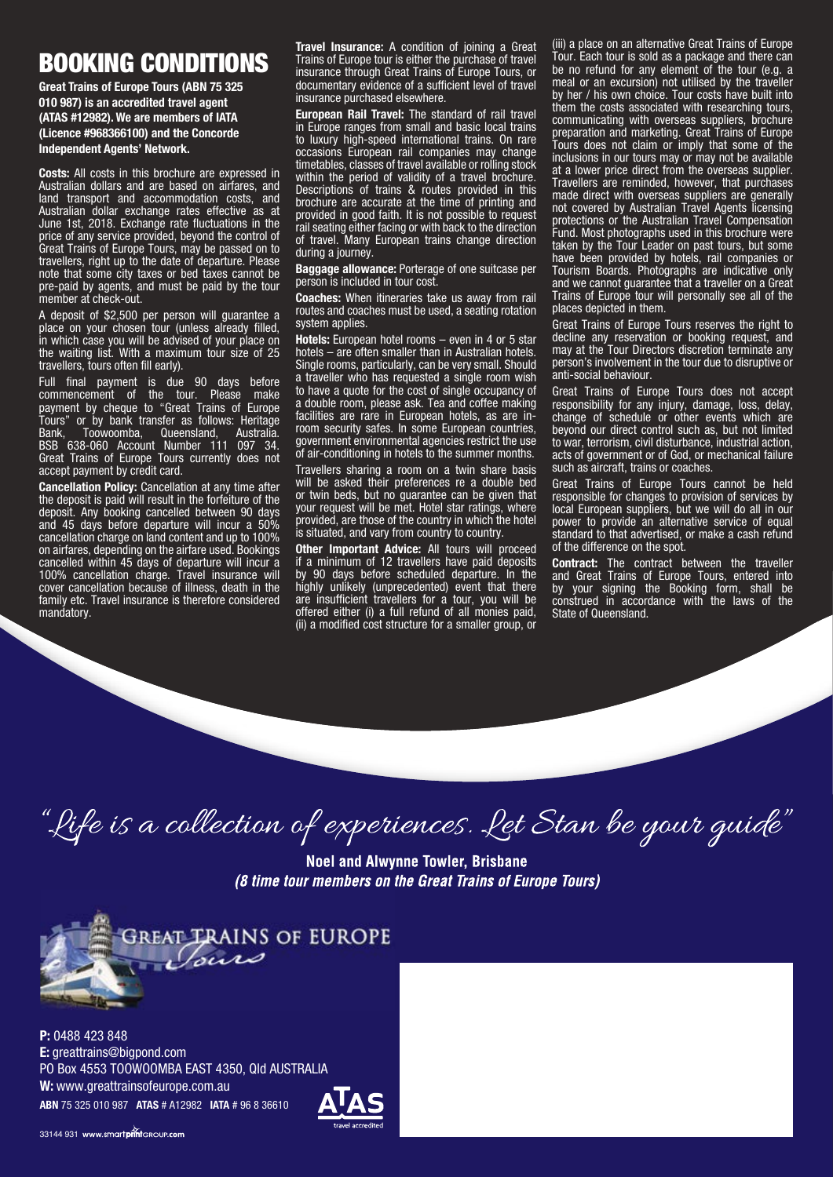## BOOKING CONDITIONS

**Great Trains of Europe Tours (ABN 75 325 010 987) is an accredited travel agent (ATAS #12982). We are members of IATA (Licence #968366100) and the Concorde Independent Agents' Network.**

**Costs:** All costs in this brochure are expressed in Australian dollars and are based on airfares, and land transport and accommodation costs, and Australian dollar exchange rates effective as at June 1st, 2018. Exchange rate fluctuations in the price of any service provided, beyond the control of Great Trains of Europe Tours, may be passed on to travellers, right up to the date of departure. Please note that some city taxes or bed taxes cannot be pre-paid by agents, and must be paid by the tour member at check-out.

A deposit of \$2,500 per person will guarantee a place on your chosen tour (unless already filled, in which case you will be advised of your place on the waiting list. With a maximum tour size of 25 travellers, tours often fill early).

Full final payment is due 90 days before commencement of the tour. Please make payment by cheque to "Great Trains of Europe Tours" or by bank transfer as follows: Heritage Bank, Toowoomba, Queensland, Australia. BSB 638-060 Account Number 111 097 34. Great Trains of Europe Tours currently does not accept payment by credit card.

**Cancellation Policy:** Cancellation at any time after the deposit is paid will result in the forfeiture of the deposit. Any booking cancelled between 90 days and 45 days before departure will incur a 50% cancellation charge on land content and up to 100% on airfares, depending on the airfare used. Bookings cancelled within 45 days of departure will incur a 100% cancellation charge. Travel insurance will cover cancellation because of illness, death in the family etc. Travel insurance is therefore considered mandatory.

**Travel Insurance:** A condition of joining a Great Trains of Europe tour is either the purchase of travel insurance through Great Trains of Europe Tours, or documentary evidence of a sufficient level of travel insurance purchased elsewhere.

**European Rail Travel:** The standard of rail travel in Europe ranges from small and basic local trains to luxury high-speed international trains. On rare occasions European rail companies may change timetables, classes of travel available or rolling stock within the period of validity of a travel brochure. Descriptions of trains & routes provided in this brochure are accurate at the time of printing and provided in good faith. It is not possible to request rail seating either facing or with back to the direction of travel. Many European trains change direction during a journey.

**Baggage allowance:** Porterage of one suitcase per person is included in tour cost.

**Coaches:** When itineraries take us away from rail routes and coaches must be used, a seating rotation system applies.

**Hotels:** European hotel rooms – even in 4 or 5 star hotels – are often smaller than in Australian hotels. Single rooms, particularly, can be very small. Should a traveller who has requested a single room wish to have a quote for the cost of single occupancy of a double room, please ask. Tea and coffee making facilities are rare in European hotels, as are inroom security safes. In some European countries, government environmental agencies restrict the use of air-conditioning in hotels to the summer months. Travellers sharing a room on a twin share basis

will be asked their preferences re a double bed or twin beds, but no guarantee can be given that your request will be met. Hotel star ratings, where provided, are those of the country in which the hotel is situated, and vary from country to country.

**Other Important Advice:** All tours will proceed if a minimum of 12 travellers have paid deposits by 90 days before scheduled departure. In the highly unlikely (unprecedented) event that there are insufficient travellers for a tour, you will be offered either (i) a full refund of all monies paid, (ii) a modified cost structure for a smaller group, or

(iii) a place on an alternative Great Trains of Europe Tour. Each tour is sold as a package and there can be no refund for any element of the tour (e.g. a meal or an excursion) not utilised by the traveller by her / his own choice. Tour costs have built into them the costs associated with researching tours, communicating with overseas suppliers, brochure preparation and marketing. Great Trains of Europe Tours does not claim or imply that some of the inclusions in our tours may or may not be available at a lower price direct from the overseas supplier. Travellers are reminded, however, that purchases made direct with overseas suppliers are generally not covered by Australian Travel Agents licensing protections or the Australian Travel Compensation Fund. Most photographs used in this brochure were taken by the Tour Leader on past tours, but some have been provided by hotels, rail companies or Tourism Boards. Photographs are indicative only and we cannot guarantee that a traveller on a Great Trains of Europe tour will personally see all of the places depicted in them.

Great Trains of Europe Tours reserves the right to decline any reservation or booking request, and may at the Tour Directors discretion terminate any person's involvement in the tour due to disruptive or anti-social behaviour.

Great Trains of Europe Tours does not accept responsibility for any injury, damage, loss, delay, change of schedule or other events which are beyond our direct control such as, but not limited to war, terrorism, civil disturbance, industrial action, acts of government or of God, or mechanical failure such as aircraft, trains or coaches.

Great Trains of Europe Tours cannot be held responsible for changes to provision of services by local European suppliers, but we will do all in our power to provide an alternative service of equal standard to that advertised, or make a cash refund of the difference on the spot.

**Contract:** The contract between the traveller and Great Trains of Europe Tours, entered into by your signing the Booking form, shall be construed in accordance with the laws of the State of Queensland.

"Life is a collection of experiences. Let Stan be your guide"

**Noel and Alwynne Towler, Brisbane** (8 time tour members on the Great Trains of Europe Tours)



**P:** 0488 423 848 **E:** greattrains@bigpond.com PO Box 4553 TOOWOOMBA EAST 4350, Qld AUSTRALIA **W:** www.greattrainsofeurope.com.au **ABN** 75 325 010 987 **ATAS** # A12982 **IATA** # 96 8 36610